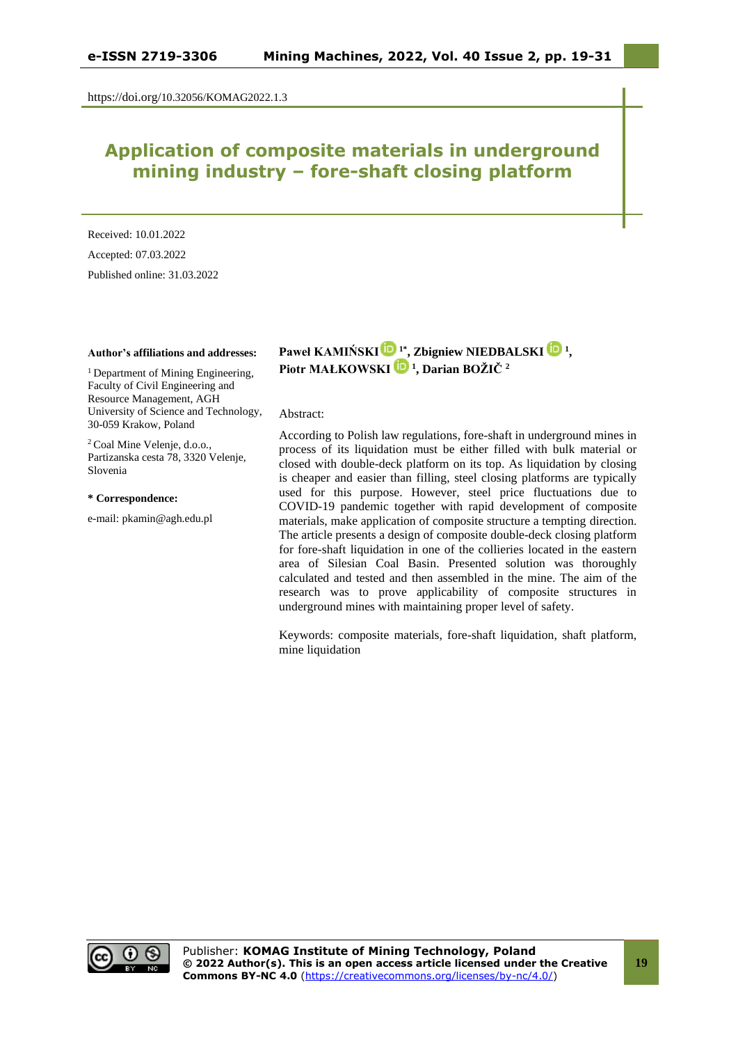https://doi.org/10.32056/KOMAG2022.1.3

# **Application of composite materials in underground mining industry – fore-shaft closing platform**

Received: 10.01.2022 Accepted: 07.03.2022 Published online: 31.03.2022

#### **Author's affiliations and addresses:**

<sup>1</sup> Department of Mining Engineering, Faculty of Civil Engineering and Resource Management, AGH University of Science and Technology, 30-059 Krakow, Poland

<sup>2</sup> Coal Mine Velenje, d.o.o., Partizanska cesta 78, 3320 Velenje, Slovenia

#### **\* Correspondence:**

e-mail: pkamin@agh.edu.pl

**Paweł KAMIŃSK[I](https://orcid.org/0000-0002-1450-5881) 1\* , Zbigniew NIEDBALSKI [1](https://orcid.org/0000-0003-0497-0162) , Piotr MAŁKOWSKI<sup>1</sup> , Darian BOŽIČ <sup>2</sup>**

#### Abstract:

According to Polish law regulations, fore-shaft in underground mines in process of its liquidation must be either filled with bulk material or closed with double-deck platform on its top. As liquidation by closing is cheaper and easier than filling, steel closing platforms are typically used for this purpose. However, steel price fluctuations due to COVID-19 pandemic together with rapid development of composite materials, make application of composite structure a tempting direction. The article presents a design of composite double-deck closing platform for fore-shaft liquidation in one of the collieries located in the eastern area of Silesian Coal Basin. Presented solution was thoroughly calculated and tested and then assembled in the mine. The aim of the research was to prove applicability of composite structures in underground mines with maintaining proper level of safety.

Keywords: composite materials, fore-shaft liquidation, shaft platform, mine liquidation

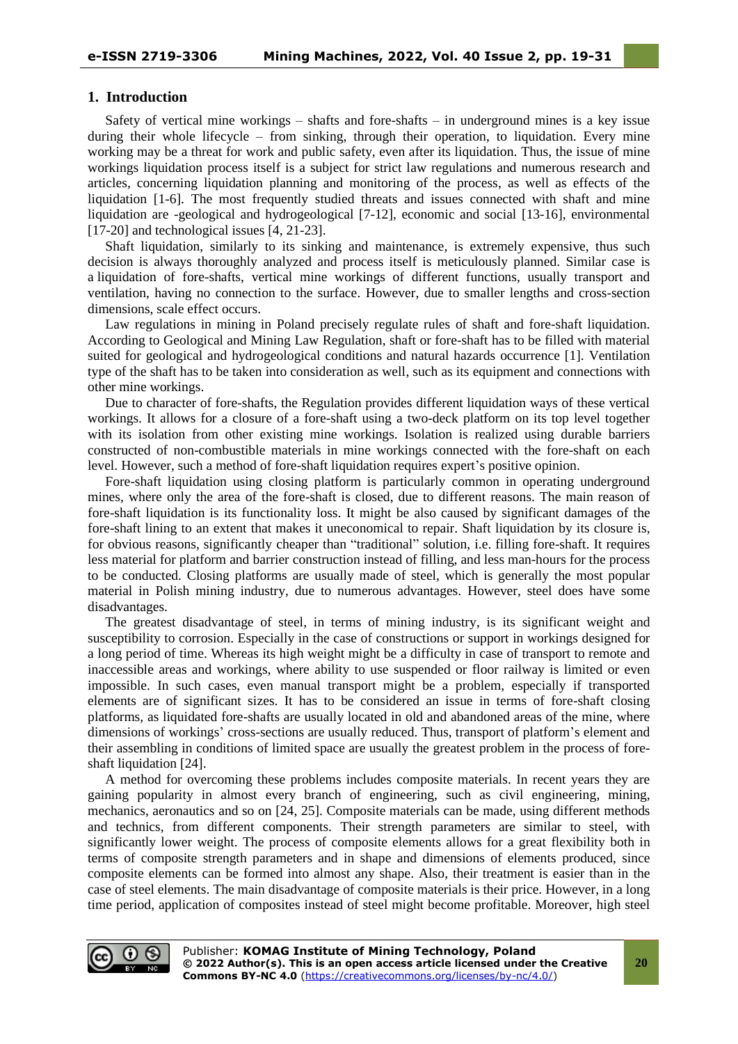#### **1. Introduction**

Safety of vertical mine workings – shafts and fore-shafts – in underground mines is a key issue during their whole lifecycle – from sinking, through their operation, to liquidation. Every mine working may be a threat for work and public safety, even after its liquidation. Thus, the issue of mine workings liquidation process itself is a subject for strict law regulations and numerous research and articles, concerning liquidation planning and monitoring of the process, as well as effects of the liquidation [1-6]. The most frequently studied threats and issues connected with shaft and mine liquidation are -geological and hydrogeological [7-12], economic and social [13-16], environmental [17-20] and technological issues [4, 21-23].

Shaft liquidation, similarly to its sinking and maintenance, is extremely expensive, thus such decision is always thoroughly analyzed and process itself is meticulously planned. Similar case is a liquidation of fore-shafts, vertical mine workings of different functions, usually transport and ventilation, having no connection to the surface. However, due to smaller lengths and cross-section dimensions, scale effect occurs.

Law regulations in mining in Poland precisely regulate rules of shaft and fore-shaft liquidation. According to Geological and Mining Law Regulation, shaft or fore-shaft has to be filled with material suited for geological and hydrogeological conditions and natural hazards occurrence [1]. Ventilation type of the shaft has to be taken into consideration as well, such as its equipment and connections with other mine workings.

Due to character of fore-shafts, the Regulation provides different liquidation ways of these vertical workings. It allows for a closure of a fore-shaft using a two-deck platform on its top level together with its isolation from other existing mine workings. Isolation is realized using durable barriers constructed of non-combustible materials in mine workings connected with the fore-shaft on each level. However, such a method of fore-shaft liquidation requires expert's positive opinion.

Fore-shaft liquidation using closing platform is particularly common in operating underground mines, where only the area of the fore-shaft is closed, due to different reasons. The main reason of fore-shaft liquidation is its functionality loss. It might be also caused by significant damages of the fore-shaft lining to an extent that makes it uneconomical to repair. Shaft liquidation by its closure is, for obvious reasons, significantly cheaper than "traditional" solution, i.e. filling fore-shaft. It requires less material for platform and barrier construction instead of filling, and less man-hours for the process to be conducted. Closing platforms are usually made of steel, which is generally the most popular material in Polish mining industry, due to numerous advantages. However, steel does have some disadvantages.

The greatest disadvantage of steel, in terms of mining industry, is its significant weight and susceptibility to corrosion. Especially in the case of constructions or support in workings designed for a long period of time. Whereas its high weight might be a difficulty in case of transport to remote and inaccessible areas and workings, where ability to use suspended or floor railway is limited or even impossible. In such cases, even manual transport might be a problem, especially if transported elements are of significant sizes. It has to be considered an issue in terms of fore-shaft closing platforms, as liquidated fore-shafts are usually located in old and abandoned areas of the mine, where dimensions of workings' cross-sections are usually reduced. Thus, transport of platform's element and their assembling in conditions of limited space are usually the greatest problem in the process of foreshaft liquidation [24].

A method for overcoming these problems includes composite materials. In recent years they are gaining popularity in almost every branch of engineering, such as civil engineering, mining, mechanics, aeronautics and so on [24, 25]. Composite materials can be made, using different methods and technics, from different components. Their strength parameters are similar to steel, with significantly lower weight. The process of composite elements allows for a great flexibility both in terms of composite strength parameters and in shape and dimensions of elements produced, since composite elements can be formed into almost any shape. Also, their treatment is easier than in the case of steel elements. The main disadvantage of composite materials is their price. However, in a long time period, application of composites instead of steel might become profitable. Moreover, high steel

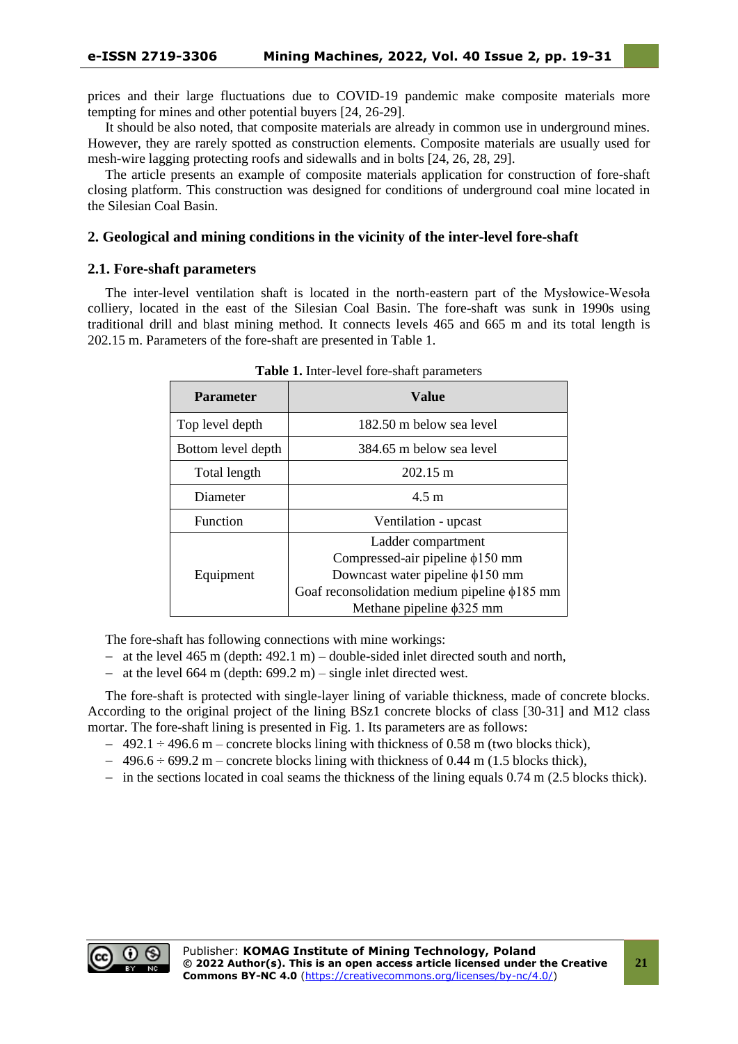prices and their large fluctuations due to COVID-19 pandemic make composite materials more tempting for mines and other potential buyers [24, 26-29].

It should be also noted, that composite materials are already in common use in underground mines. However, they are rarely spotted as construction elements. Composite materials are usually used for mesh-wire lagging protecting roofs and sidewalls and in bolts [24, 26, 28, 29].

The article presents an example of composite materials application for construction of fore-shaft closing platform. This construction was designed for conditions of underground coal mine located in the Silesian Coal Basin.

# **2. Geological and mining conditions in the vicinity of the inter-level fore-shaft**

# **2.1. Fore-shaft parameters**

The inter-level ventilation shaft is located in the north-eastern part of the Mysłowice-Wesoła colliery, located in the east of the Silesian Coal Basin. The fore-shaft was sunk in 1990s using traditional drill and blast mining method. It connects levels 465 and 665 m and its total length is 202.15 m. Parameters of the fore-shaft are presented in Table 1.

| <b>Parameter</b>   | Value                                              |  |  |  |  |
|--------------------|----------------------------------------------------|--|--|--|--|
| Top level depth    | 182.50 m below sea level                           |  |  |  |  |
| Bottom level depth | 384.65 m below sea level                           |  |  |  |  |
| Total length       | $202.15 \text{ m}$                                 |  |  |  |  |
| Diameter           | $4.5 \text{ m}$                                    |  |  |  |  |
| <b>Function</b>    | Ventilation - upcast                               |  |  |  |  |
|                    | Ladder compartment                                 |  |  |  |  |
|                    | Compressed-air pipeline $\phi$ 150 mm              |  |  |  |  |
| Equipment          | Downcast water pipeline $\phi$ 150 mm              |  |  |  |  |
|                    | Goaf reconsolidation medium pipeline $\phi$ 185 mm |  |  |  |  |
|                    | Methane pipeline $\phi$ 325 mm                     |  |  |  |  |

**Table 1.** Inter-level fore-shaft parameters

The fore-shaft has following connections with mine workings:

- − at the level 465 m (depth: 492.1 m) double-sided inlet directed south and north,
- − at the level 664 m (depth: 699.2 m) single inlet directed west.

The fore-shaft is protected with single-layer lining of variable thickness, made of concrete blocks. According to the original project of the lining BSz1 concrete blocks of class [30-31] and M12 class mortar. The fore-shaft lining is presented in Fig. 1. Its parameters are as follows:

- $-492.1 \div 496.6$  m concrete blocks lining with thickness of 0.58 m (two blocks thick),
- $-496.6 \div 699.2 \text{ m}$  concrete blocks lining with thickness of 0.44 m (1.5 blocks thick),
- − in the sections located in coal seams the thickness of the lining equals 0.74 m (2.5 blocks thick).

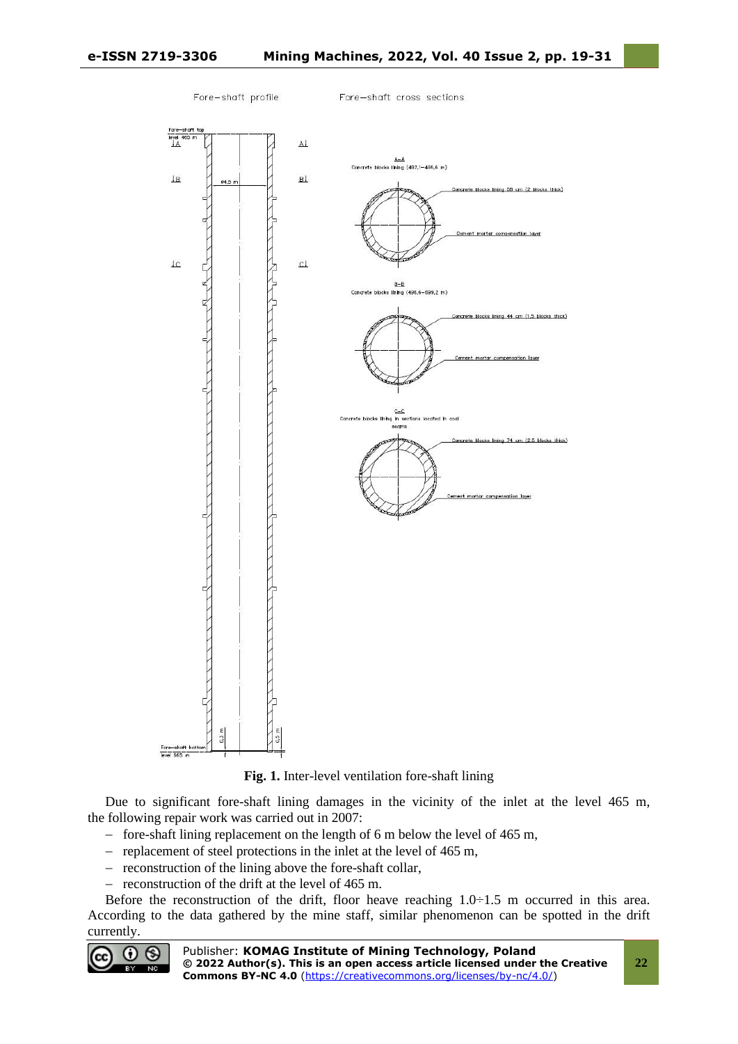

**Fig. 1.** Inter-level ventilation fore-shaft lining

Due to significant fore-shaft lining damages in the vicinity of the inlet at the level 465 m, the following repair work was carried out in 2007:

- − fore-shaft lining replacement on the length of 6 m below the level of 465 m,
- − replacement of steel protections in the inlet at the level of 465 m,
- − reconstruction of the lining above the fore-shaft collar,
- − reconstruction of the drift at the level of 465 m.

Before the reconstruction of the drift, floor heave reaching  $1.0\div 1.5$  m occurred in this area. According to the data gathered by the mine staff, similar phenomenon can be spotted in the drift currently.

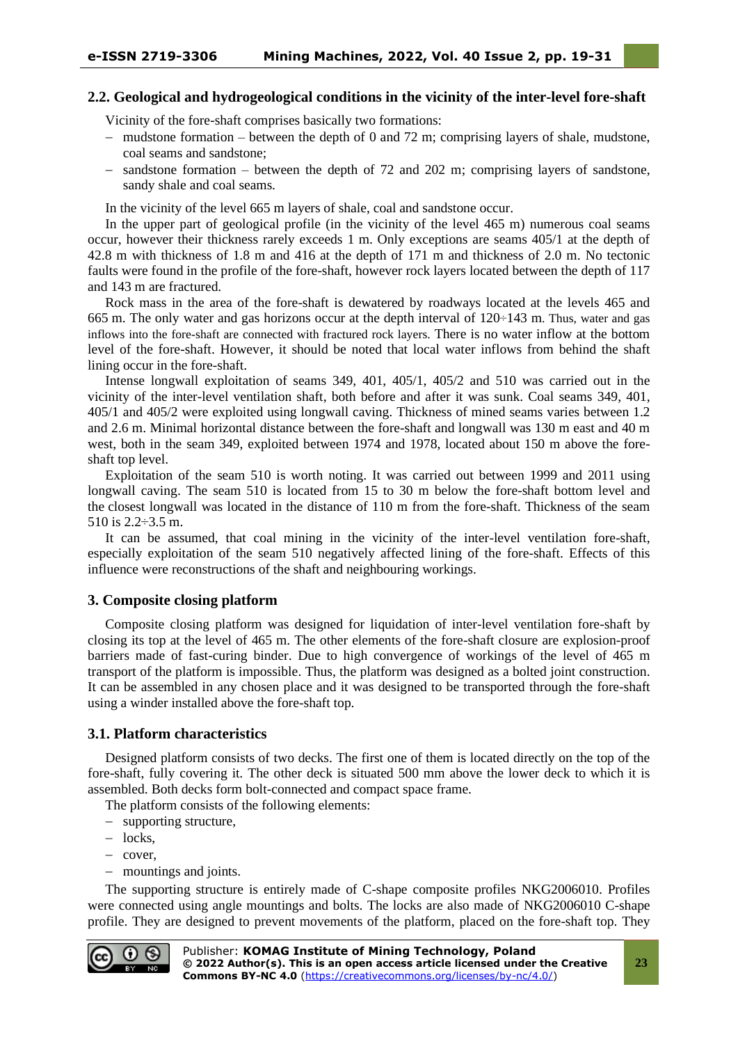## **2.2. Geological and hydrogeological conditions in the vicinity of the inter-level fore-shaft**

Vicinity of the fore-shaft comprises basically two formations:

- − mudstone formation between the depth of 0 and 72 m; comprising layers of shale, mudstone, coal seams and sandstone;
- − sandstone formation between the depth of 72 and 202 m; comprising layers of sandstone, sandy shale and coal seams.

In the vicinity of the level 665 m layers of shale, coal and sandstone occur.

In the upper part of geological profile (in the vicinity of the level 465 m) numerous coal seams occur, however their thickness rarely exceeds 1 m. Only exceptions are seams 405/1 at the depth of 42.8 m with thickness of 1.8 m and 416 at the depth of 171 m and thickness of 2.0 m. No tectonic faults were found in the profile of the fore-shaft, however rock layers located between the depth of 117 and 143 m are fractured.

Rock mass in the area of the fore-shaft is dewatered by roadways located at the levels 465 and 665 m. The only water and gas horizons occur at the depth interval of 120÷143 m. Thus, water and gas inflows into the fore-shaft are connected with fractured rock layers. There is no water inflow at the bottom level of the fore-shaft. However, it should be noted that local water inflows from behind the shaft lining occur in the fore-shaft.

Intense longwall exploitation of seams 349, 401, 405/1, 405/2 and 510 was carried out in the vicinity of the inter-level ventilation shaft, both before and after it was sunk. Coal seams 349, 401, 405/1 and 405/2 were exploited using longwall caving. Thickness of mined seams varies between 1.2 and 2.6 m. Minimal horizontal distance between the fore-shaft and longwall was 130 m east and 40 m west, both in the seam 349, exploited between 1974 and 1978, located about 150 m above the foreshaft top level.

Exploitation of the seam 510 is worth noting. It was carried out between 1999 and 2011 using longwall caving. The seam 510 is located from 15 to 30 m below the fore-shaft bottom level and the closest longwall was located in the distance of 110 m from the fore-shaft. Thickness of the seam 510 is 2.2÷3.5 m.

It can be assumed, that coal mining in the vicinity of the inter-level ventilation fore-shaft. especially exploitation of the seam 510 negatively affected lining of the fore-shaft. Effects of this influence were reconstructions of the shaft and neighbouring workings.

## **3. Composite closing platform**

Composite closing platform was designed for liquidation of inter-level ventilation fore-shaft by closing its top at the level of 465 m. The other elements of the fore-shaft closure are explosion-proof barriers made of fast-curing binder. Due to high convergence of workings of the level of 465 m transport of the platform is impossible. Thus, the platform was designed as a bolted joint construction. It can be assembled in any chosen place and it was designed to be transported through the fore-shaft using a winder installed above the fore-shaft top.

#### **3.1. Platform characteristics**

Designed platform consists of two decks. The first one of them is located directly on the top of the fore-shaft, fully covering it. The other deck is situated 500 mm above the lower deck to which it is assembled. Both decks form bolt-connected and compact space frame.

The platform consists of the following elements:

- − supporting structure,
- − locks,
- − cover,
- − mountings and joints.

The supporting structure is entirely made of C-shape composite profiles NKG2006010. Profiles were connected using angle mountings and bolts. The locks are also made of NKG2006010 C-shape profile. They are designed to prevent movements of the platform, placed on the fore-shaft top. They

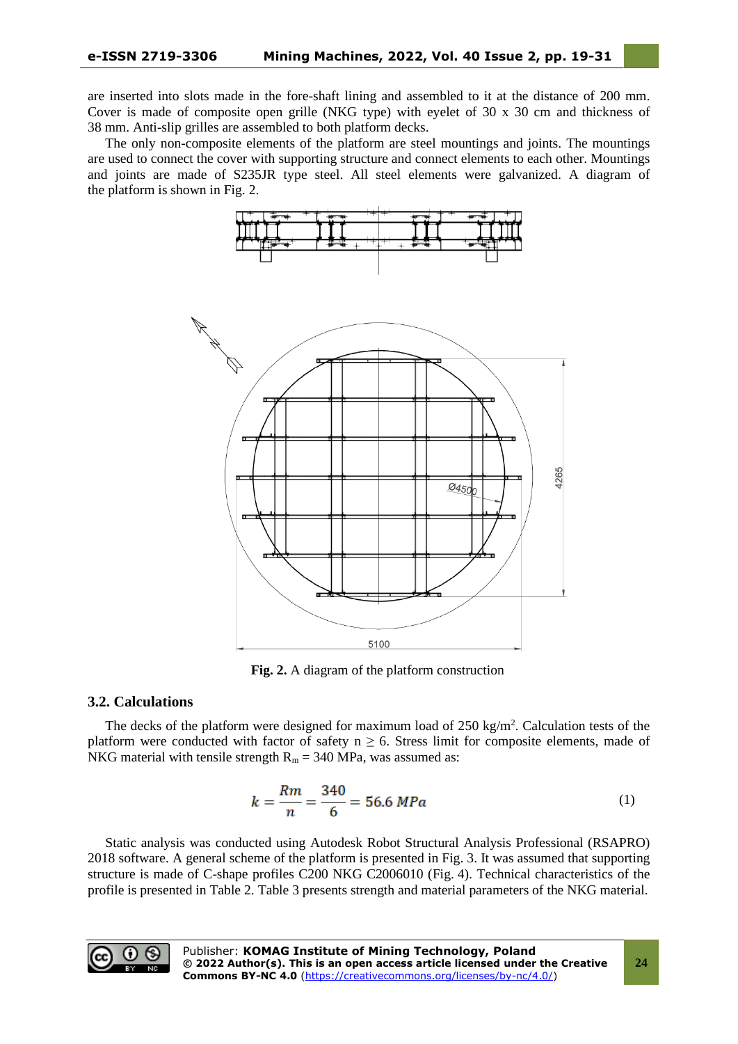are inserted into slots made in the fore-shaft lining and assembled to it at the distance of 200 mm. Cover is made of composite open grille (NKG type) with eyelet of 30 x 30 cm and thickness of 38 mm. Anti-slip grilles are assembled to both platform decks.

The only non-composite elements of the platform are steel mountings and joints. The mountings are used to connect the cover with supporting structure and connect elements to each other. Mountings and joints are made of S235JR type steel. All steel elements were galvanized. A diagram of the platform is shown in Fig. 2.



**Fig. 2.** A diagram of the platform construction

## **3.2. Calculations**

The decks of the platform were designed for maximum load of  $250 \text{ kg/m}^2$ . Calculation tests of the platform were conducted with factor of safety  $n \ge 6$ . Stress limit for composite elements, made of NKG material with tensile strength  $R_m = 340$  MPa, was assumed as:

$$
k = \frac{Rm}{n} = \frac{340}{6} = 56.6 \text{ MPa}
$$
 (1)

Static analysis was conducted using Autodesk Robot Structural Analysis Professional (RSAPRO) 2018 software. A general scheme of the platform is presented in Fig. 3. It was assumed that supporting structure is made of C-shape profiles C200 NKG C2006010 (Fig. 4). Technical characteristics of the profile is presented in Table 2. Table 3 presents strength and material parameters of the NKG material.

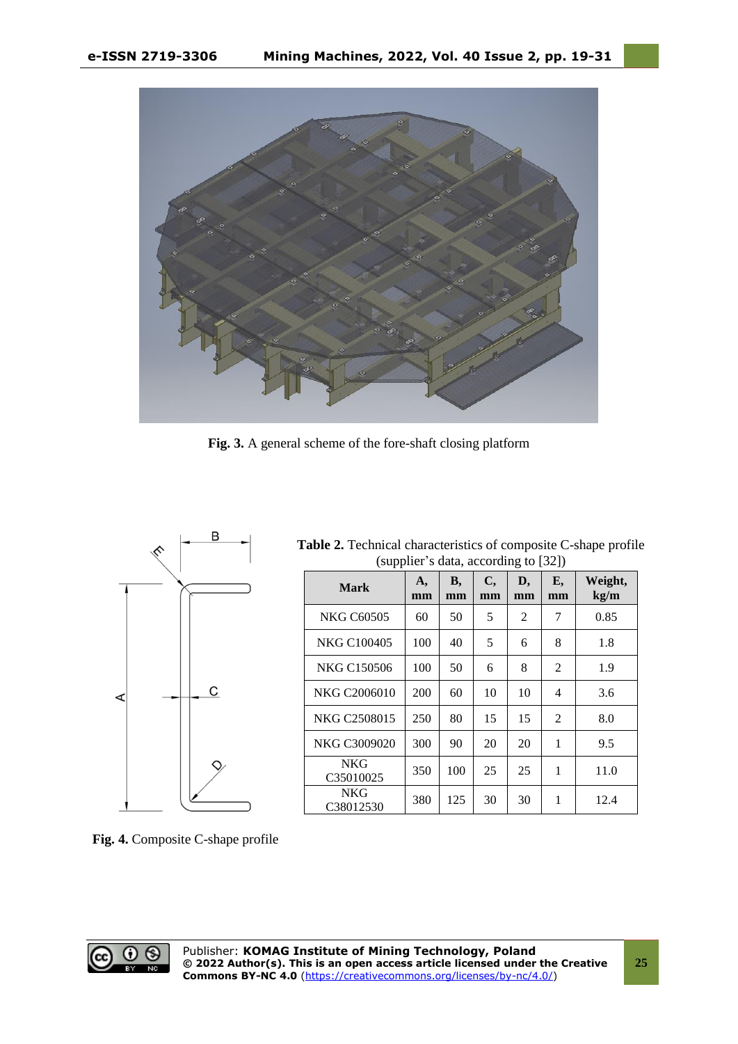

**Fig. 3.** A general scheme of the fore-shaft closing platform



| <b>Table 2.</b> Technical characteristics of composite C-shape profile |
|------------------------------------------------------------------------|
| (supplier's data, according to [32])                                   |

| <b>Mark</b>             | A,<br>mm | <b>B</b> ,<br>mm | C,<br>mm | D,<br>mm | E,<br>mm | Weight,<br>kg/m |
|-------------------------|----------|------------------|----------|----------|----------|-----------------|
| <b>NKG C60505</b>       | 60       | 50               | 5        | 2        | 7        | 0.85            |
| NKG C100405             | 100      | 40               | 5        | 6        | 8        | 1.8             |
| <b>NKG C150506</b>      | 100      | 50               | 6        | 8        | 2        | 1.9             |
| NKG C2006010            | 200      | 60               | 10       | 10       | 4        | 3.6             |
| NKG C2508015            | 250      | 80               | 15       | 15       | 2        | 8.0             |
| NKG C3009020            | 300      | 90               | 20       | 20       | 1        | 9.5             |
| <b>NKG</b><br>C35010025 | 350      | 100              | 25       | 25       | 1        | 11.0            |
| <b>NKG</b><br>C38012530 | 380      | 125              | 30       | 30       | 1        | 12.4            |

**Fig. 4.** Composite C-shape profile

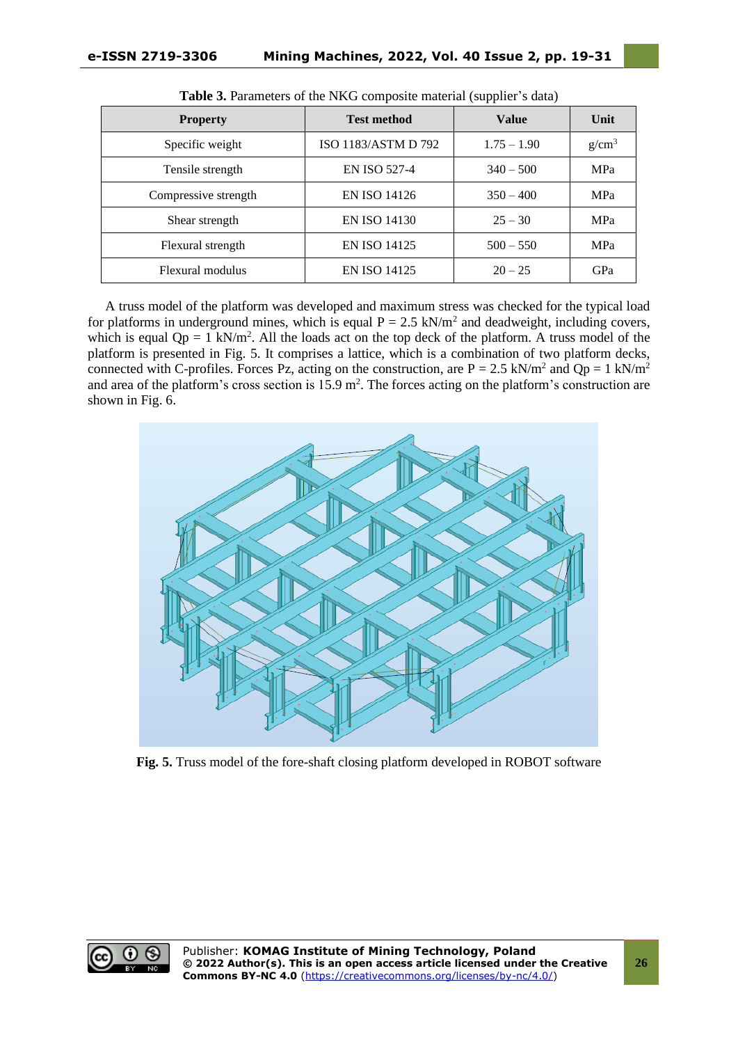|                      |                     | <b>TT</b>     |          |
|----------------------|---------------------|---------------|----------|
| <b>Property</b>      | <b>Test method</b>  | <b>Value</b>  | Unit     |
| Specific weight      | ISO 1183/ASTM D 792 | $1.75 - 1.90$ | $g/cm^3$ |
| Tensile strength     | <b>EN ISO 527-4</b> | $340 - 500$   | MPa      |
| Compressive strength | <b>EN ISO 14126</b> | $350 - 400$   | MPa      |
| Shear strength       | <b>EN ISO 14130</b> | $25 - 30$     | MPa      |
| Flexural strength    | <b>EN ISO 14125</b> | $500 - 550$   | MPa      |
| Flexural modulus     | <b>EN ISO 14125</b> | $20 - 25$     | GPa      |

|  | Table 3. Parameters of the NKG composite material (supplier's data) |  |  |  |  |  |  |  |
|--|---------------------------------------------------------------------|--|--|--|--|--|--|--|
|--|---------------------------------------------------------------------|--|--|--|--|--|--|--|

A truss model of the platform was developed and maximum stress was checked for the typical load for platforms in underground mines, which is equal  $P = 2.5$  kN/m<sup>2</sup> and deadweight, including covers, which is equal  $Qp = 1$  kN/m<sup>2</sup>. All the loads act on the top deck of the platform. A truss model of the platform is presented in Fig. 5. It comprises a lattice, which is a combination of two platform decks, connected with C-profiles. Forces Pz, acting on the construction, are  $P = 2.5 \text{ kN/m}^2$  and  $Qp = 1 \text{ kN/m}^2$ and area of the platform's cross section is  $15.9 \text{ m}^2$ . The forces acting on the platform's construction are shown in Fig. 6.



**Fig. 5.** Truss model of the fore-shaft closing platform developed in ROBOT software

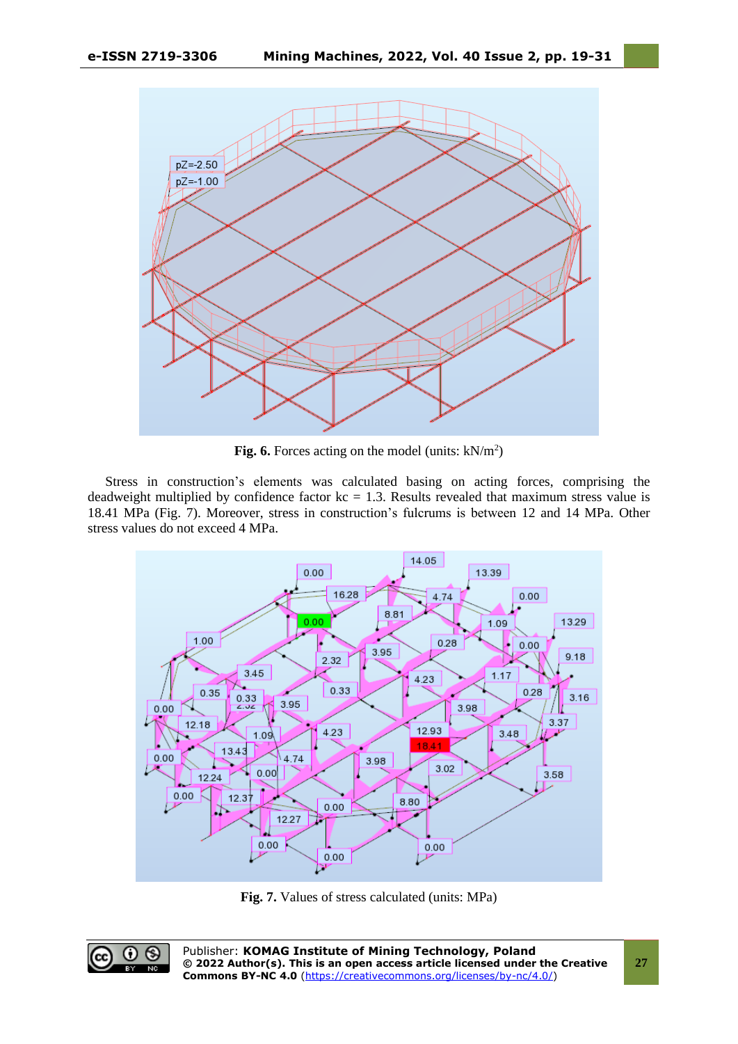

**Fig. 6.** Forces acting on the model (units:  $kN/m^2$ )

Stress in construction's elements was calculated basing on acting forces, comprising the deadweight multiplied by confidence factor  $kc = 1.3$ . Results revealed that maximum stress value is 18.41 MPa (Fig. 7). Moreover, stress in construction's fulcrums is between 12 and 14 MPa. Other stress values do not exceed 4 MPa.



**Fig. 7.** Values of stress calculated (units: MPa)

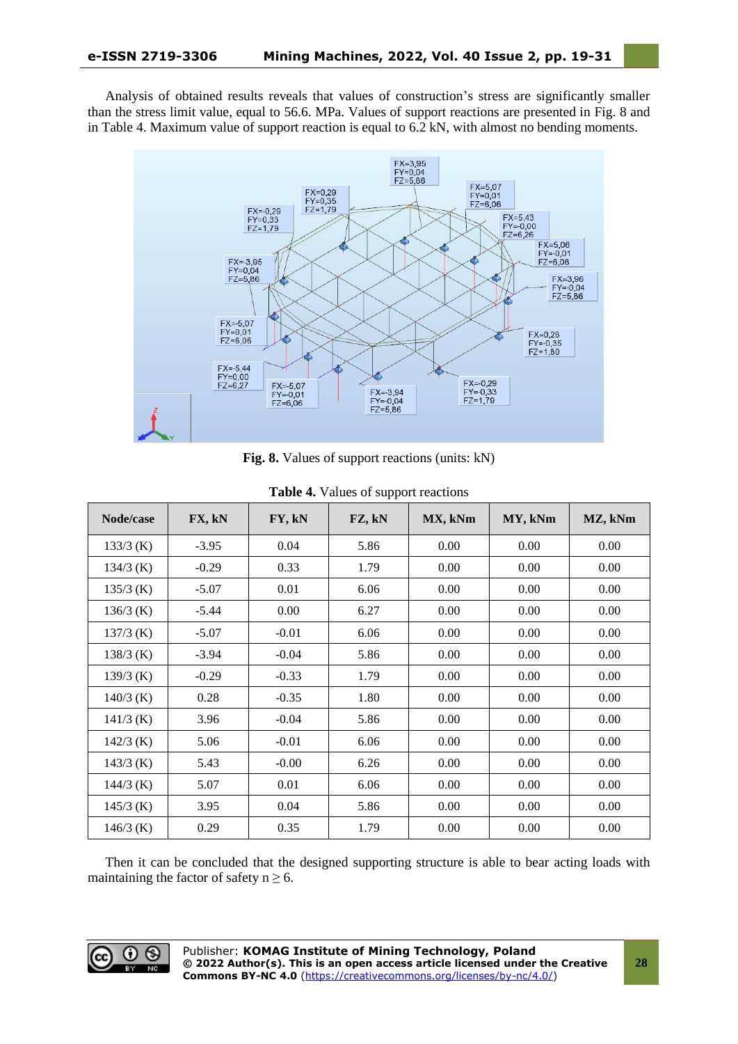Analysis of obtained results reveals that values of construction's stress are significantly smaller than the stress limit value, equal to 56.6. MPa. Values of support reactions are presented in Fig. 8 and in Table 4. Maximum value of support reaction is equal to 6.2 kN, with almost no bending moments.



**Fig. 8.** Values of support reactions (units: kN)

| Node/case   | FX, kN  | FY, kN  | FZ, kN | MX, kNm | MY, kNm | MZ, kNm |
|-------------|---------|---------|--------|---------|---------|---------|
| $133/3$ (K) | $-3.95$ | 0.04    | 5.86   | 0.00    | 0.00    | 0.00    |
| $134/3$ (K) | $-0.29$ | 0.33    | 1.79   | 0.00    | 0.00    | 0.00    |
| $135/3$ (K) | $-5.07$ | 0.01    | 6.06   | 0.00    | 0.00    | 0.00    |
| $136/3$ (K) | $-5.44$ | 0.00    | 6.27   | 0.00    | 0.00    | 0.00    |
| $137/3$ (K) | $-5.07$ | $-0.01$ | 6.06   | 0.00    | 0.00    | 0.00    |
| $138/3$ (K) | $-3.94$ | $-0.04$ | 5.86   | 0.00    | 0.00    | 0.00    |
| $139/3$ (K) | $-0.29$ | $-0.33$ | 1.79   | 0.00    | 0.00    | 0.00    |
| $140/3$ (K) | 0.28    | $-0.35$ | 1.80   | 0.00    | 0.00    | 0.00    |
| $141/3$ (K) | 3.96    | $-0.04$ | 5.86   | 0.00    | 0.00    | 0.00    |
| $142/3$ (K) | 5.06    | $-0.01$ | 6.06   | 0.00    | 0.00    | 0.00    |
| $143/3$ (K) | 5.43    | $-0.00$ | 6.26   | 0.00    | 0.00    | 0.00    |
| $144/3$ (K) | 5.07    | 0.01    | 6.06   | 0.00    | 0.00    | 0.00    |
| $145/3$ (K) | 3.95    | 0.04    | 5.86   | 0.00    | 0.00    | 0.00    |
| $146/3$ (K) | 0.29    | 0.35    | 1.79   | 0.00    | 0.00    | 0.00    |

Then it can be concluded that the designed supporting structure is able to bear acting loads with maintaining the factor of safety  $n \ge 6$ .

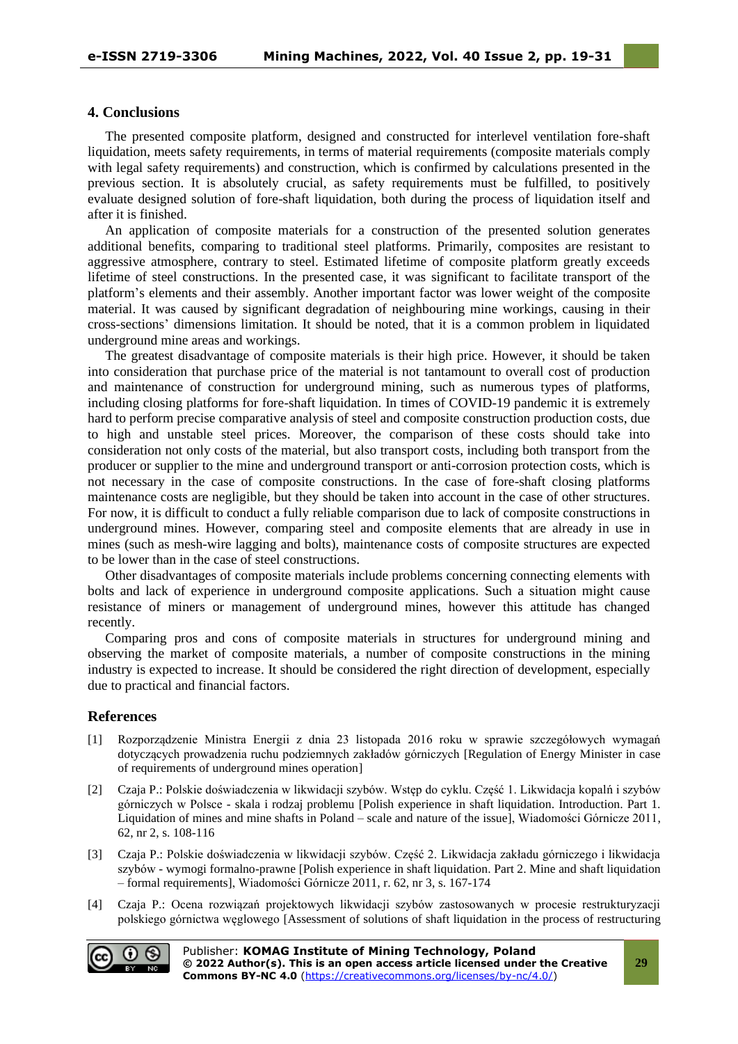## **4. Conclusions**

The presented composite platform, designed and constructed for interlevel ventilation fore-shaft liquidation, meets safety requirements, in terms of material requirements (composite materials comply with legal safety requirements) and construction, which is confirmed by calculations presented in the previous section. It is absolutely crucial, as safety requirements must be fulfilled, to positively evaluate designed solution of fore-shaft liquidation, both during the process of liquidation itself and after it is finished.

An application of composite materials for a construction of the presented solution generates additional benefits, comparing to traditional steel platforms. Primarily, composites are resistant to aggressive atmosphere, contrary to steel. Estimated lifetime of composite platform greatly exceeds lifetime of steel constructions. In the presented case, it was significant to facilitate transport of the platform's elements and their assembly. Another important factor was lower weight of the composite material. It was caused by significant degradation of neighbouring mine workings, causing in their cross-sections' dimensions limitation. It should be noted, that it is a common problem in liquidated underground mine areas and workings.

The greatest disadvantage of composite materials is their high price. However, it should be taken into consideration that purchase price of the material is not tantamount to overall cost of production and maintenance of construction for underground mining, such as numerous types of platforms, including closing platforms for fore-shaft liquidation. In times of COVID-19 pandemic it is extremely hard to perform precise comparative analysis of steel and composite construction production costs, due to high and unstable steel prices. Moreover, the comparison of these costs should take into consideration not only costs of the material, but also transport costs, including both transport from the producer or supplier to the mine and underground transport or anti-corrosion protection costs, which is not necessary in the case of composite constructions. In the case of fore-shaft closing platforms maintenance costs are negligible, but they should be taken into account in the case of other structures. For now, it is difficult to conduct a fully reliable comparison due to lack of composite constructions in underground mines. However, comparing steel and composite elements that are already in use in mines (such as mesh-wire lagging and bolts), maintenance costs of composite structures are expected to be lower than in the case of steel constructions.

Other disadvantages of composite materials include problems concerning connecting elements with bolts and lack of experience in underground composite applications. Such a situation might cause resistance of miners or management of underground mines, however this attitude has changed recently.

Comparing pros and cons of composite materials in structures for underground mining and observing the market of composite materials, a number of composite constructions in the mining industry is expected to increase. It should be considered the right direction of development, especially due to practical and financial factors.

#### **References**

- [1] Rozporządzenie Ministra Energii z dnia 23 listopada 2016 roku w sprawie szczegółowych wymagań dotyczących prowadzenia ruchu podziemnych zakładów górniczych [Regulation of Energy Minister in case of requirements of underground mines operation]
- [2] Czaja P.: Polskie doświadczenia w likwidacji szybów. Wstęp do cyklu. Część 1. Likwidacja kopalń i szybów górniczych w Polsce - skala i rodzaj problemu [Polish experience in shaft liquidation. Introduction. Part 1. Liquidation of mines and mine shafts in Poland – scale and nature of the issue], Wiadomości Górnicze 2011, 62, nr 2, s. 108-116
- [3] Czaja P.: Polskie doświadczenia w likwidacji szybów. Część 2. Likwidacja zakładu górniczego i likwidacja szybów - wymogi formalno-prawne [Polish experience in shaft liquidation. Part 2. Mine and shaft liquidation – formal requirements], Wiadomości Górnicze 2011, r. 62, nr 3, s. 167-174
- [4] Czaja P.: Ocena rozwiązań projektowych likwidacji szybów zastosowanych w procesie restrukturyzacji polskiego górnictwa węglowego [Assessment of solutions of shaft liquidation in the process of restructuring

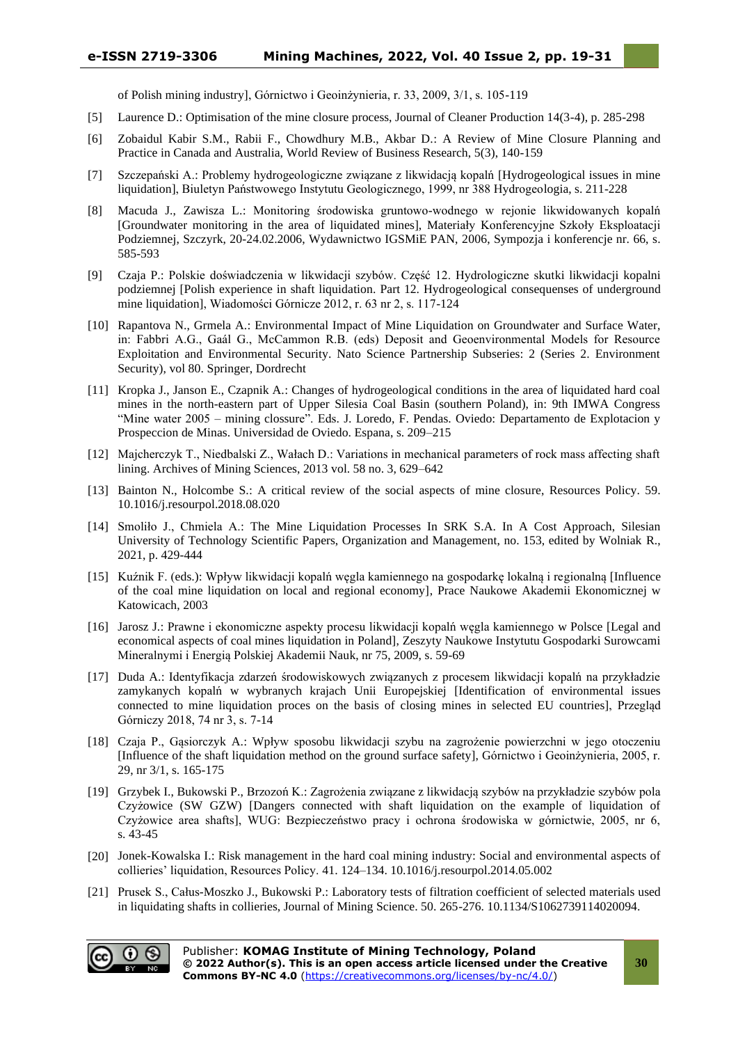of Polish mining industry], Górnictwo i Geoinżynieria, r. 33, 2009, 3/1, s. 105-119

- [5] Laurence D.: Optimisation of the mine closure process, Journal of Cleaner Production 14(3-4), p. 285-298
- [6] Zobaidul Kabir S.M., Rabii F., Chowdhury M.B., Akbar D.: A Review of Mine Closure Planning and Practice in Canada and Australia, World Review of Business Research, 5(3), 140-159
- [7] Szczepański A.: Problemy hydrogeologiczne związane z likwidacją kopalń [Hydrogeological issues in mine liquidation], Biuletyn Państwowego Instytutu Geologicznego, 1999, nr 388 Hydrogeologia, s. 211-228
- [8] Macuda J., Zawisza L.: Monitoring środowiska gruntowo-wodnego w rejonie likwidowanych kopalń [Groundwater monitoring in the area of liquidated mines], Materiały Konferencyjne Szkoły Eksploatacji Podziemnej, Szczyrk, 20-24.02.2006, Wydawnictwo IGSMiE PAN, 2006, Sympozja i konferencje nr. 66, s. 585-593
- [9] Czaja P.: Polskie doświadczenia w likwidacji szybów. Część 12. Hydrologiczne skutki likwidacji kopalni podziemnej [Polish experience in shaft liquidation. Part 12. Hydrogeological consequenses of underground mine liquidation], Wiadomości Górnicze 2012, r. 63 nr 2, s. 117-124
- [10] Rapantova N., Grmela A.: Environmental Impact of Mine Liquidation on Groundwater and Surface Water, in: Fabbri A.G., Gaál G., McCammon R.B. (eds) Deposit and Geoenvironmental Models for Resource Exploitation and Environmental Security. Nato Science Partnership Subseries: 2 (Series 2. Environment Security), vol 80. Springer, Dordrecht
- [11] Kropka J., Janson E., Czapnik A.: Changes of hydrogeological conditions in the area of liquidated hard coal mines in the north-eastern part of Upper Silesia Coal Basin (southern Poland), in: 9th IMWA Congress "Mine water 2005 – mining clossure". Eds. J. Loredo, F. Pendas. Oviedo: Departamento de Explotacion y Prospeccion de Minas. Universidad de Oviedo. Espana, s. 209–215
- [12] Majcherczyk T., Niedbalski Z., Wałach D.: Variations in mechanical parameters of rock mass affecting shaft lining. Archives of Mining Sciences, 2013 vol. 58 no. 3, 629–642
- [13] Bainton N., Holcombe S.: A critical review of the social aspects of mine closure, Resources Policy. 59. 10.1016/j.resourpol.2018.08.020
- [14] Smoliło J., Chmiela A.: The Mine Liquidation Processes In SRK S.A. In A Cost Approach, Silesian University of Technology Scientific Papers, Organization and Management, no. 153, edited by Wolniak R., 2021, p. 429-444
- [15] Kuźnik F. (eds.): Wpływ likwidacji kopalń węgla kamiennego na gospodarkę lokalną i regionalną [Influence of the coal mine liquidation on local and regional economy], Prace Naukowe Akademii Ekonomicznej w Katowicach, 2003
- [16] Jarosz J.: Prawne i ekonomiczne aspekty procesu likwidacji kopalń węgla kamiennego w Polsce [Legal and economical aspects of coal mines liquidation in Poland], Zeszyty Naukowe Instytutu Gospodarki Surowcami Mineralnymi i Energią Polskiej Akademii Nauk, nr 75, 2009, s. 59-69
- [17] Duda A.: Identyfikacja zdarzeń środowiskowych związanych z procesem likwidacji kopalń na przykładzie zamykanych kopalń w wybranych krajach Unii Europejskiej [Identification of environmental issues connected to mine liquidation proces on the basis of closing mines in selected EU countries], Przegląd Górniczy 2018, 74 nr 3, s. 7-14
- [18] Czaja P., Gąsiorczyk A.: Wpływ sposobu likwidacji szybu na zagrożenie powierzchni w jego otoczeniu [Influence of the shaft liquidation method on the ground surface safety], Górnictwo i Geoinżynieria, 2005, r. 29, nr 3/1, s. 165-175
- [19] Grzybek I., Bukowski P., Brzozoń K.: Zagrożenia związane z likwidacją szybów na przykładzie szybów pola Czyżowice (SW GZW) [Dangers connected with shaft liquidation on the example of liquidation of Czyżowice area shafts], WUG: Bezpieczeństwo pracy i ochrona środowiska w górnictwie, 2005, nr 6, s. 43-45
- [20] Jonek-Kowalska I.: Risk management in the hard coal mining industry: Social and environmental aspects of collieries' liquidation, Resources Policy. 41. 124–134. 10.1016/j.resourpol.2014.05.002
- [21] Prusek S., Całus-Moszko J., Bukowski P.: Laboratory tests of filtration coefficient of selected materials used in liquidating shafts in collieries, Journal of Mining Science. 50. 265-276. 10.1134/S1062739114020094.